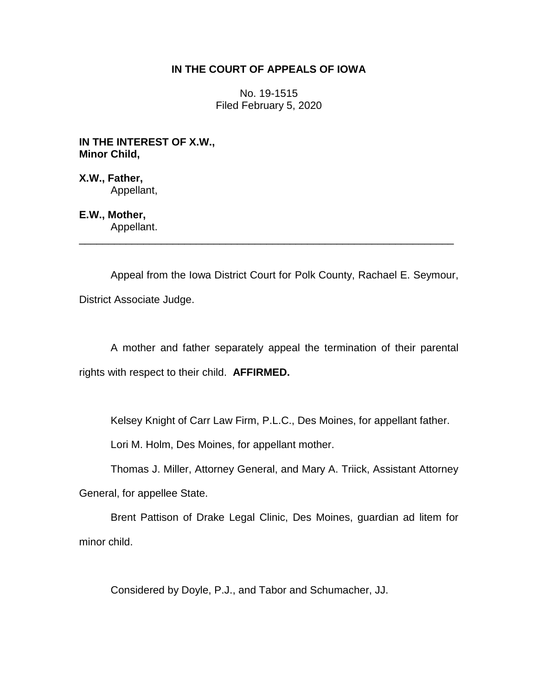# **IN THE COURT OF APPEALS OF IOWA**

No. 19-1515 Filed February 5, 2020

**IN THE INTEREST OF X.W., Minor Child,**

**X.W., Father,** Appellant,

**E.W., Mother,** Appellant.

Appeal from the Iowa District Court for Polk County, Rachael E. Seymour, District Associate Judge.

\_\_\_\_\_\_\_\_\_\_\_\_\_\_\_\_\_\_\_\_\_\_\_\_\_\_\_\_\_\_\_\_\_\_\_\_\_\_\_\_\_\_\_\_\_\_\_\_\_\_\_\_\_\_\_\_\_\_\_\_\_\_\_\_

A mother and father separately appeal the termination of their parental rights with respect to their child. **AFFIRMED.**

Kelsey Knight of Carr Law Firm, P.L.C., Des Moines, for appellant father.

Lori M. Holm, Des Moines, for appellant mother.

Thomas J. Miller, Attorney General, and Mary A. Triick, Assistant Attorney

General, for appellee State.

Brent Pattison of Drake Legal Clinic, Des Moines, guardian ad litem for minor child.

Considered by Doyle, P.J., and Tabor and Schumacher, JJ.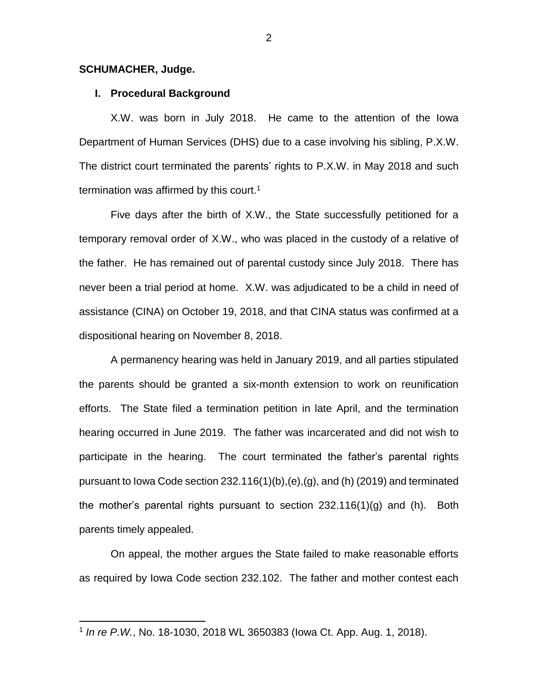#### **SCHUMACHER, Judge.**

 $\overline{a}$ 

#### **I. Procedural Background**

X.W. was born in July 2018. He came to the attention of the Iowa Department of Human Services (DHS) due to a case involving his sibling, P.X.W. The district court terminated the parents' rights to P.X.W. in May 2018 and such termination was affirmed by this court.<sup>1</sup>

Five days after the birth of X.W., the State successfully petitioned for a temporary removal order of X.W., who was placed in the custody of a relative of the father. He has remained out of parental custody since July 2018. There has never been a trial period at home. X.W. was adjudicated to be a child in need of assistance (CINA) on October 19, 2018, and that CINA status was confirmed at a dispositional hearing on November 8, 2018.

A permanency hearing was held in January 2019, and all parties stipulated the parents should be granted a six-month extension to work on reunification efforts. The State filed a termination petition in late April, and the termination hearing occurred in June 2019. The father was incarcerated and did not wish to participate in the hearing. The court terminated the father's parental rights pursuant to Iowa Code section 232.116(1)(b),(e),(g), and (h) (2019) and terminated the mother's parental rights pursuant to section 232.116(1)(g) and (h). Both parents timely appealed.

On appeal, the mother argues the State failed to make reasonable efforts as required by Iowa Code section 232.102. The father and mother contest each

<sup>1</sup> *In re P.W.*, No. 18-1030, 2018 WL 3650383 (Iowa Ct. App. Aug. 1, 2018).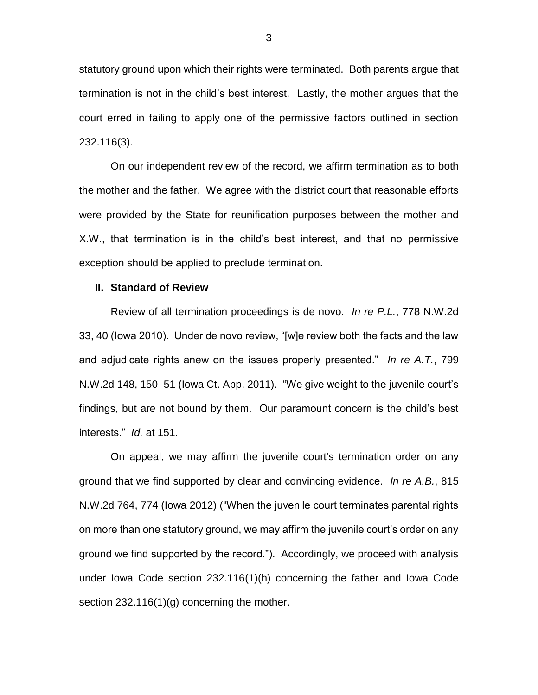statutory ground upon which their rights were terminated. Both parents argue that termination is not in the child's best interest. Lastly, the mother argues that the court erred in failing to apply one of the permissive factors outlined in section 232.116(3).

On our independent review of the record, we affirm termination as to both the mother and the father. We agree with the district court that reasonable efforts were provided by the State for reunification purposes between the mother and X.W., that termination is in the child's best interest, and that no permissive exception should be applied to preclude termination.

#### **II. Standard of Review**

Review of all termination proceedings is de novo. *In re P.L.*, 778 N.W.2d 33, 40 (Iowa 2010). Under de novo review, "[w]e review both the facts and the law and adjudicate rights anew on the issues properly presented." *In re A.T.*, 799 N.W.2d 148, 150–51 (Iowa Ct. App. 2011). "We give weight to the juvenile court's findings, but are not bound by them. Our paramount concern is the child's best interests." *Id.* at 151.

On appeal, we may affirm the juvenile court's termination order on any ground that we find supported by clear and convincing evidence. *In re A.B.*, 815 N.W.2d 764, 774 (Iowa 2012) ("When the juvenile court terminates parental rights on more than one statutory ground, we may affirm the juvenile court's order on any ground we find supported by the record."). Accordingly, we proceed with analysis under Iowa Code section 232.116(1)(h) concerning the father and Iowa Code section 232.116(1)(g) concerning the mother.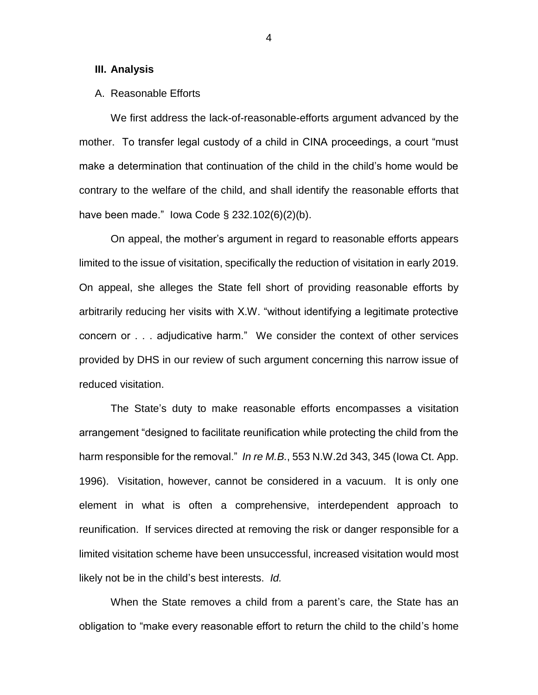#### **III. Analysis**

## A. Reasonable Efforts

We first address the lack-of-reasonable-efforts argument advanced by the mother. To transfer legal custody of a child in CINA proceedings, a court "must make a determination that continuation of the child in the child's home would be contrary to the welfare of the child, and shall identify the reasonable efforts that have been made." Iowa Code § 232.102(6)(2)(b).

On appeal, the mother's argument in regard to reasonable efforts appears limited to the issue of visitation, specifically the reduction of visitation in early 2019. On appeal, she alleges the State fell short of providing reasonable efforts by arbitrarily reducing her visits with X.W. "without identifying a legitimate protective concern or . . . adjudicative harm." We consider the context of other services provided by DHS in our review of such argument concerning this narrow issue of reduced visitation.

The State's duty to make reasonable efforts encompasses a visitation arrangement "designed to facilitate reunification while protecting the child from the harm responsible for the removal." *In re M.B.*, 553 N.W.2d 343, 345 (Iowa Ct. App. 1996). Visitation, however, cannot be considered in a vacuum. It is only one element in what is often a comprehensive, interdependent approach to reunification. If services directed at removing the risk or danger responsible for a limited visitation scheme have been unsuccessful, increased visitation would most likely not be in the child's best interests. *Id.*

When the State removes a child from a parent's care, the State has an obligation to "make every reasonable effort to return the child to the child's home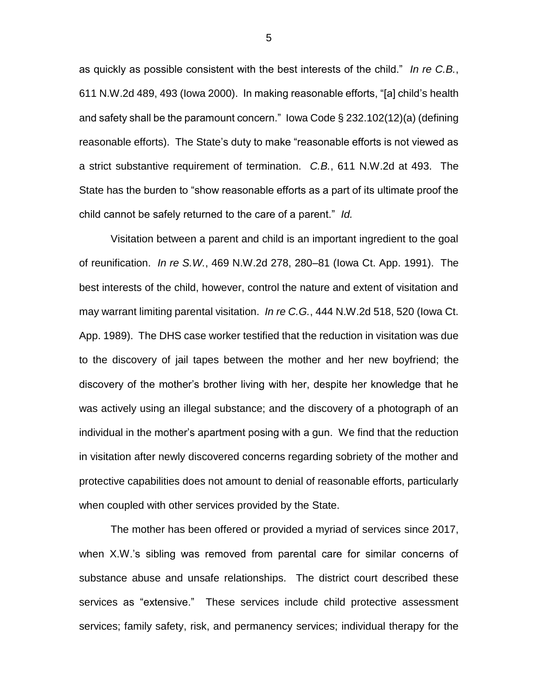as quickly as possible consistent with the best interests of the child." *In re C.B.*, 611 N.W.2d 489, 493 (Iowa 2000). In making reasonable efforts, "[a] child's health and safety shall be the paramount concern." Iowa Code § 232.102(12)(a) (defining reasonable efforts). The State's duty to make "reasonable efforts is not viewed as a strict substantive requirement of termination. *C.B.*, 611 N.W.2d at 493. The State has the burden to "show reasonable efforts as a part of its ultimate proof the child cannot be safely returned to the care of a parent." *Id.*

Visitation between a parent and child is an important ingredient to the goal of reunification. *In re S.W.*, 469 N.W.2d 278, 280–81 (Iowa Ct. App. 1991). The best interests of the child, however, control the nature and extent of visitation and may warrant limiting parental visitation. *In re C.G.*, 444 N.W.2d 518, 520 (Iowa Ct. App. 1989). The DHS case worker testified that the reduction in visitation was due to the discovery of jail tapes between the mother and her new boyfriend; the discovery of the mother's brother living with her, despite her knowledge that he was actively using an illegal substance; and the discovery of a photograph of an individual in the mother's apartment posing with a gun. We find that the reduction in visitation after newly discovered concerns regarding sobriety of the mother and protective capabilities does not amount to denial of reasonable efforts, particularly when coupled with other services provided by the State.

The mother has been offered or provided a myriad of services since 2017, when X.W.'s sibling was removed from parental care for similar concerns of substance abuse and unsafe relationships. The district court described these services as "extensive." These services include child protective assessment services; family safety, risk, and permanency services; individual therapy for the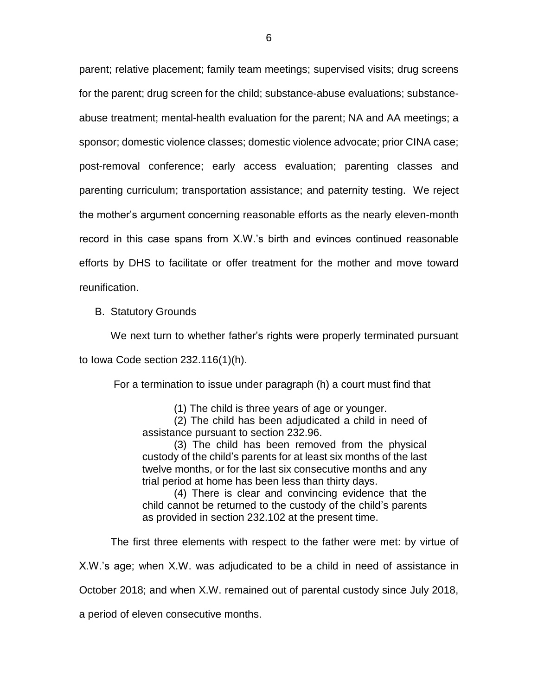parent; relative placement; family team meetings; supervised visits; drug screens for the parent; drug screen for the child; substance-abuse evaluations; substanceabuse treatment; mental-health evaluation for the parent; NA and AA meetings; a sponsor; domestic violence classes; domestic violence advocate; prior CINA case; post-removal conference; early access evaluation; parenting classes and parenting curriculum; transportation assistance; and paternity testing. We reject the mother's argument concerning reasonable efforts as the nearly eleven-month record in this case spans from X.W.'s birth and evinces continued reasonable efforts by DHS to facilitate or offer treatment for the mother and move toward reunification.

B. Statutory Grounds

We next turn to whether father's rights were properly terminated pursuant to Iowa Code section 232.116(1)(h).

For a termination to issue under paragraph (h) a court must find that

(1) The child is three years of age or younger.

(2) The child has been adjudicated a child in need of assistance pursuant to section 232.96.

(3) The child has been removed from the physical custody of the child's parents for at least six months of the last twelve months, or for the last six consecutive months and any trial period at home has been less than thirty days.

(4) There is clear and convincing evidence that the child cannot be returned to the custody of the child's parents as provided in section 232.102 at the present time.

The first three elements with respect to the father were met: by virtue of

X.W.'s age; when X.W. was adjudicated to be a child in need of assistance in

October 2018; and when X.W. remained out of parental custody since July 2018,

a period of eleven consecutive months.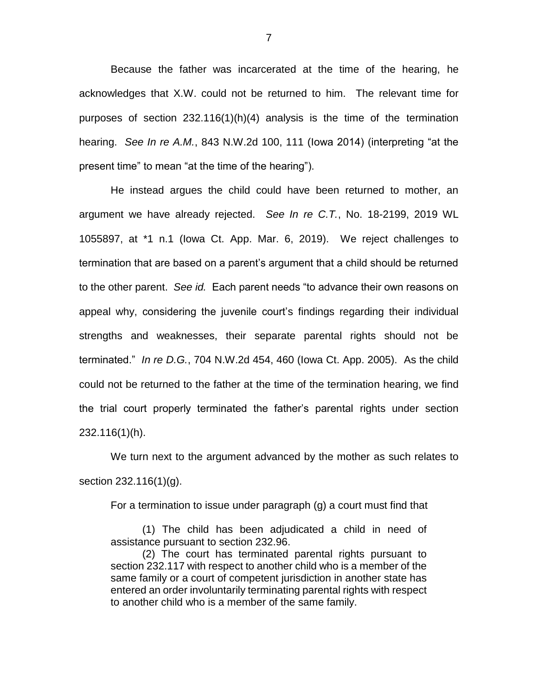Because the father was incarcerated at the time of the hearing, he acknowledges that X.W. could not be returned to him. The relevant time for purposes of section 232.116(1)(h)(4) analysis is the time of the termination hearing. *See In re A.M.*, 843 N.W.2d 100, 111 (Iowa 2014) (interpreting "at the present time" to mean "at the time of the hearing").

He instead argues the child could have been returned to mother, an argument we have already rejected. *See In re C.T.*, No. 18-2199, 2019 WL 1055897, at \*1 n.1 (Iowa Ct. App. Mar. 6, 2019). We reject challenges to termination that are based on a parent's argument that a child should be returned to the other parent. *See id.* Each parent needs "to advance their own reasons on appeal why, considering the juvenile court's findings regarding their individual strengths and weaknesses, their separate parental rights should not be terminated." *In re D.G.*, 704 N.W.2d 454, 460 (Iowa Ct. App. 2005). As the child could not be returned to the father at the time of the termination hearing, we find the trial court properly terminated the father's parental rights under section 232.116(1)(h).

We turn next to the argument advanced by the mother as such relates to section 232.116(1)(g).

For a termination to issue under paragraph (g) a court must find that

(1) The child has been adjudicated a child in need of assistance pursuant to section 232.96.

(2) The court has terminated parental rights pursuant to section 232.117 with respect to another child who is a member of the same family or a court of competent jurisdiction in another state has entered an order involuntarily terminating parental rights with respect to another child who is a member of the same family.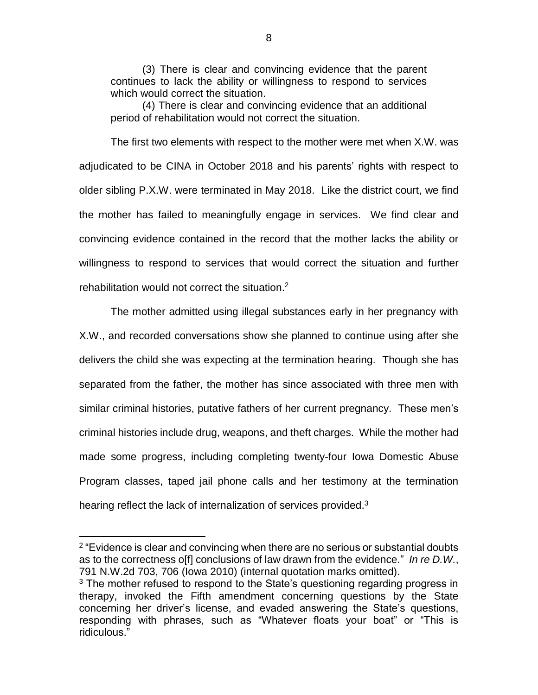(3) There is clear and convincing evidence that the parent continues to lack the ability or willingness to respond to services which would correct the situation.

(4) There is clear and convincing evidence that an additional period of rehabilitation would not correct the situation.

The first two elements with respect to the mother were met when X.W. was adjudicated to be CINA in October 2018 and his parents' rights with respect to older sibling P.X.W. were terminated in May 2018. Like the district court, we find the mother has failed to meaningfully engage in services. We find clear and convincing evidence contained in the record that the mother lacks the ability or willingness to respond to services that would correct the situation and further rehabilitation would not correct the situation. 2

The mother admitted using illegal substances early in her pregnancy with X.W., and recorded conversations show she planned to continue using after she delivers the child she was expecting at the termination hearing. Though she has separated from the father, the mother has since associated with three men with similar criminal histories, putative fathers of her current pregnancy. These men's criminal histories include drug, weapons, and theft charges. While the mother had made some progress, including completing twenty-four Iowa Domestic Abuse Program classes, taped jail phone calls and her testimony at the termination hearing reflect the lack of internalization of services provided.<sup>3</sup>

 $\overline{a}$ 

 $2$  "Evidence is clear and convincing when there are no serious or substantial doubts as to the correctness o[f] conclusions of law drawn from the evidence." *In re D.W.*, 791 N.W.2d 703, 706 (Iowa 2010) (internal quotation marks omitted).

 $3$  The mother refused to respond to the State's questioning regarding progress in therapy, invoked the Fifth amendment concerning questions by the State concerning her driver's license, and evaded answering the State's questions, responding with phrases, such as "Whatever floats your boat" or "This is ridiculous."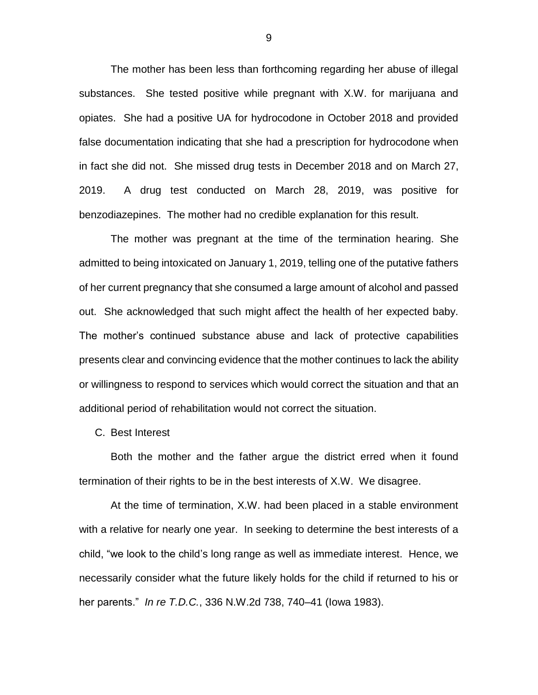The mother has been less than forthcoming regarding her abuse of illegal substances. She tested positive while pregnant with X.W. for marijuana and opiates. She had a positive UA for hydrocodone in October 2018 and provided false documentation indicating that she had a prescription for hydrocodone when in fact she did not. She missed drug tests in December 2018 and on March 27, 2019. A drug test conducted on March 28, 2019, was positive for benzodiazepines. The mother had no credible explanation for this result.

The mother was pregnant at the time of the termination hearing. She admitted to being intoxicated on January 1, 2019, telling one of the putative fathers of her current pregnancy that she consumed a large amount of alcohol and passed out. She acknowledged that such might affect the health of her expected baby. The mother's continued substance abuse and lack of protective capabilities presents clear and convincing evidence that the mother continues to lack the ability or willingness to respond to services which would correct the situation and that an additional period of rehabilitation would not correct the situation.

C. Best Interest

Both the mother and the father argue the district erred when it found termination of their rights to be in the best interests of X.W. We disagree.

At the time of termination, X.W. had been placed in a stable environment with a relative for nearly one year. In seeking to determine the best interests of a child, "we look to the child's long range as well as immediate interest. Hence, we necessarily consider what the future likely holds for the child if returned to his or her parents." *In re T.D.C.*, 336 N.W.2d 738, 740–41 (Iowa 1983).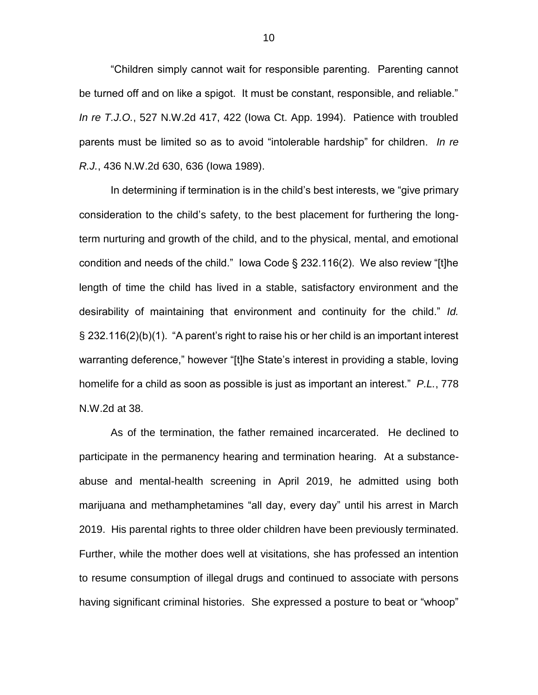"Children simply cannot wait for responsible parenting. Parenting cannot be turned off and on like a spigot. It must be constant, responsible, and reliable." *In re T.J.O.*, 527 N.W.2d 417, 422 (Iowa Ct. App. 1994). Patience with troubled parents must be limited so as to avoid "intolerable hardship" for children. *In re R.J.*, 436 N.W.2d 630, 636 (Iowa 1989).

In determining if termination is in the child's best interests, we "give primary consideration to the child's safety, to the best placement for furthering the longterm nurturing and growth of the child, and to the physical, mental, and emotional condition and needs of the child." Iowa Code § 232.116(2). We also review "[t]he length of time the child has lived in a stable, satisfactory environment and the desirability of maintaining that environment and continuity for the child." *Id.*  § 232.116(2)(b)(1). "A parent's right to raise his or her child is an important interest warranting deference," however "[t]he State's interest in providing a stable, loving homelife for a child as soon as possible is just as important an interest." *P.L.*, 778 N.W.2d at 38.

As of the termination, the father remained incarcerated. He declined to participate in the permanency hearing and termination hearing. At a substanceabuse and mental-health screening in April 2019, he admitted using both marijuana and methamphetamines "all day, every day" until his arrest in March 2019. His parental rights to three older children have been previously terminated. Further, while the mother does well at visitations, she has professed an intention to resume consumption of illegal drugs and continued to associate with persons having significant criminal histories. She expressed a posture to beat or "whoop"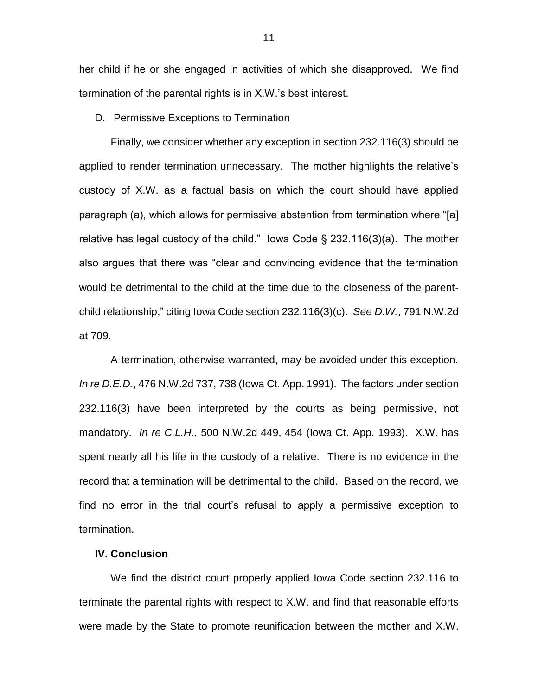her child if he or she engaged in activities of which she disapproved. We find termination of the parental rights is in X.W.'s best interest.

D. Permissive Exceptions to Termination

Finally, we consider whether any exception in section 232.116(3) should be applied to render termination unnecessary. The mother highlights the relative's custody of X.W. as a factual basis on which the court should have applied paragraph (a), which allows for permissive abstention from termination where "[a] relative has legal custody of the child." Iowa Code  $\S$  232.116(3)(a). The mother also argues that there was "clear and convincing evidence that the termination would be detrimental to the child at the time due to the closeness of the parentchild relationship," citing Iowa Code section 232.116(3)(c). *See D.W.*, 791 N.W.2d at 709.

A termination, otherwise warranted, may be avoided under this exception. *In re D.E.D.*, 476 N.W.2d 737, 738 (Iowa Ct. App. 1991). The factors under section 232.116(3) have been interpreted by the courts as being permissive, not mandatory. *In re C.L.H.*, 500 N.W.2d 449, 454 (Iowa Ct. App. 1993). X.W. has spent nearly all his life in the custody of a relative. There is no evidence in the record that a termination will be detrimental to the child. Based on the record, we find no error in the trial court's refusal to apply a permissive exception to termination.

## **IV. Conclusion**

We find the district court properly applied Iowa Code section 232.116 to terminate the parental rights with respect to X.W. and find that reasonable efforts were made by the State to promote reunification between the mother and X.W.